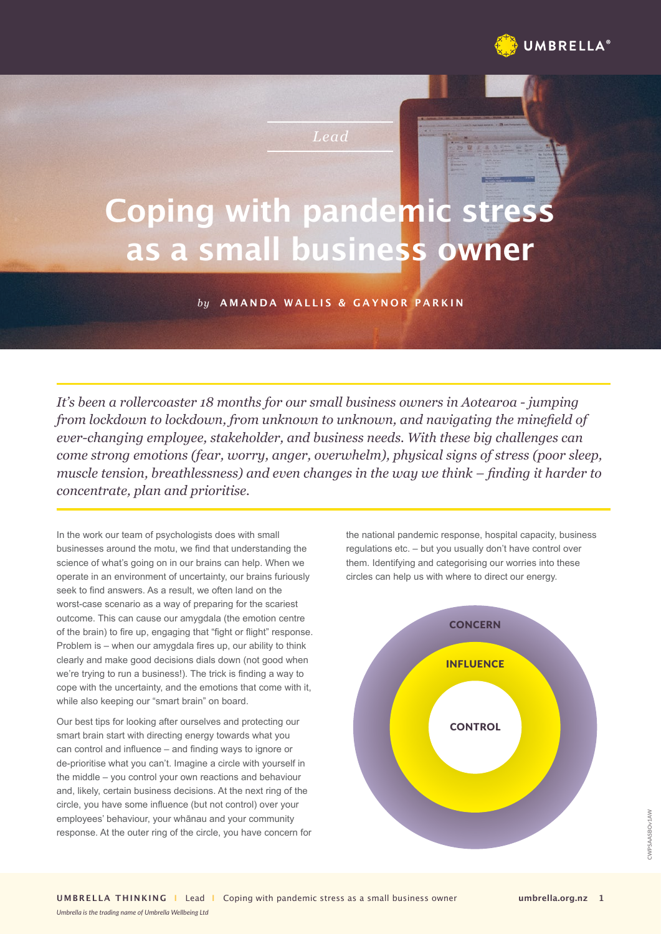

*Lead*

# **Coping with pandemic stress as a small business owner**

## *by* **AMANDA WALLIS & GAYNOR PARKIN**

*It's been a rollercoaster 18 months for our small business owners in Aotearoa - jumping from lockdown to lockdown, from unknown to unknown, and navigating the minefield of ever-changing employee, stakeholder, and business needs. With these big challenges can come strong emotions (fear, worry, anger, overwhelm), physical signs of stress (poor sleep, muscle tension, breathlessness) and even changes in the way we think – finding it harder to concentrate, plan and prioritise.* 

In the work our team of psychologists does with small businesses around the motu, we find that understanding the science of what's going on in our brains can help. When we operate in an environment of uncertainty, our brains furiously seek to find answers. As a result, we often land on the worst-case scenario as a way of preparing for the scariest outcome. This can cause our amygdala (the emotion centre of the brain) to fire up, engaging that "fight or flight" response. Problem is – when our amygdala fires up, our ability to think clearly and make good decisions dials down (not good when we're trying to run a business!). The trick is finding a way to cope with the uncertainty, and the emotions that come with it, while also keeping our "smart brain" on board.

Our best tips for looking after ourselves and protecting our smart brain start with directing energy towards what you can control and influence – and finding ways to ignore or de-prioritise what you can't. Imagine a circle with yourself in the middle – you control your own reactions and behaviour and, likely, certain business decisions. At the next ring of the circle, you have some influence (but not control) over your employees' behaviour, your whānau and your community response. At the outer ring of the circle, you have concern for

*Umbrella is the trading name of Umbrella Wellbeing Ltd*

the national pandemic response, hospital capacity, business regulations etc. – but you usually don't have control over them. Identifying and categorising our worries into these circles can help us with where to direct our energy.